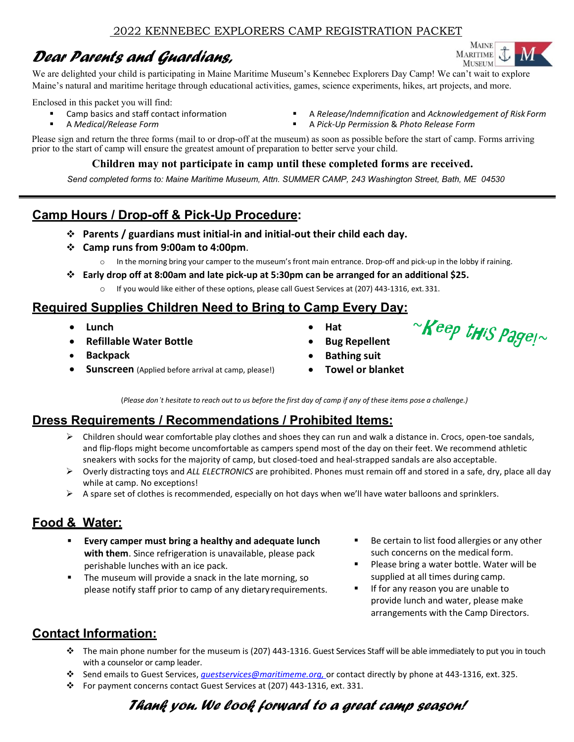# *Dear Parents and Guardians,*

**MAINE MARITIME MUSEUM** 

We are delighted your child is participating in Maine Maritime Museum's Kennebec Explorers Day Camp! We can't wait to explore Maine's natural and maritime heritage through educational activities, games, science experiments, hikes, art projects, and more.

Enclosed in this packet you will find:

- Camp basics and staff contact information
- A *Medical/Release Form*
- A *Release/Indemnification* and *Acknowledgement of Risk Form*
- A *Pick-Up Permission* & *Photo Release Form*

Please sign and return the three forms (mail to or drop-off at the museum) as soon as possible before the start of camp. Forms arriving prior to the start of camp will ensure the greatest amount of preparation to better serve your child.

#### **Children may not participate in camp until these completed forms are received.**

*Send completed forms to: Maine Maritime Museum, Attn. SUMMER CAMP, 243 Washington Street, Bath, ME 04530*

## **Camp Hours / Drop-off & Pick-Up Procedure:**

- **Parents / guardians must initial-in and initial-out their child each day.**
- **Camp runs from 9:00am to 4:00pm**.
	- o In the morning bring your camper to the museum's front main entrance. Drop-off and pick-up in the lobby if raining.
- **Early drop off at 8:00am and late pick-up at 5:30pm can be arranged for an additional \$25.**
	- o If you would like either of these options, please call Guest Services at (207) 443-1316, ext. 331.

## **Required Supplies Children Need to Bring to Camp Every Day:**

- **Lunch**
- **Refillable Water Bottle**
- **Backpack**
- **Sunscreen** (Applied before arrival at camp, please!)
- **Hat**
- **Bug Repellent**
- **Bathing suit**
- **Towel or blanket**

(*Please don't hesitate to reach out to us before the first day of camp if any of these items pose a challenge.)*

## **Dress Requirements / Recommendations / Prohibited Items:**

- $\triangleright$  Children should wear comfortable play clothes and shoes they can run and walk a distance in. Crocs, open-toe sandals, and flip-flops might become uncomfortable as campers spend most of the day on their feet. We recommend athletic sneakers with socks for the majority of camp, but closed-toed and heal-strapped sandals are also acceptable.
- Overly distracting toys and *ALL ELECTRONICS* are prohibited. Phones must remain off and stored in a safe, dry, place all day while at camp. No exceptions!
- $\triangleright$  A spare set of clothes is recommended, especially on hot days when we'll have water balloons and sprinklers.

## **Food & Water:**

- **Every camper must bring a healthy and adequate lunch with them**. Since refrigeration is unavailable, please pack perishable lunches with an ice pack.
- The museum will provide a snack in the late morning, so please notify staff prior to camp of any dietaryrequirements.
- Be certain to list food allergies or any other such concerns on the medical form.
- Please bring a water bottle. Water will be supplied at all times during camp.
- If for any reason you are unable to provide lunch and water, please make arrangements with the Camp Directors.

## **Contact Information:**

- $\div$  The main phone number for the museum is (207) 443-1316. Guest Services Staff will be able immediately to put you in touch with a counselor or camp leader.
- Send emails to Guest Services, *[guestservices@maritimeme.org,](mailto:milardo@maritimeme.org,)* or contact directly by phone at 443-1316, ext. 325.
- For payment concerns contact Guest Services at (207) 443-1316, ext. 331.

# *Thank you. We look forward to a great camp season!*

 $\mathcal{C}$ Keep this pagel $\sim$ 

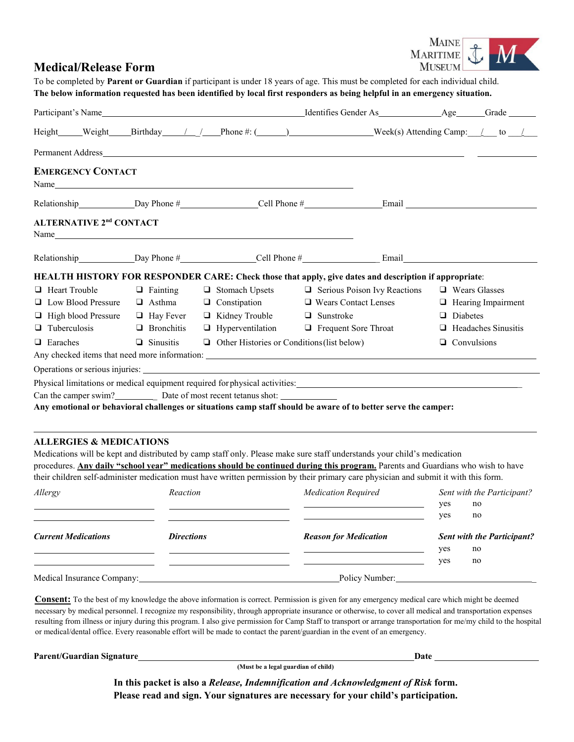

#### **Medical/Release Form**

To be completed by **Parent or Guardian** if participant is under 18 years of age. This must be completed for each individual child. **The below information requested has been identified by local first responders as being helpful in an emergency situation.**

|                                           |                  |                                                                                                                                                                                                                                | Height Weight Birthday / / Phone #: (100) Week(s) Attending Camp: / to /                                                                                                                                                       |                            |
|-------------------------------------------|------------------|--------------------------------------------------------------------------------------------------------------------------------------------------------------------------------------------------------------------------------|--------------------------------------------------------------------------------------------------------------------------------------------------------------------------------------------------------------------------------|----------------------------|
|                                           |                  |                                                                                                                                                                                                                                |                                                                                                                                                                                                                                |                            |
| <b>EMERGENCY CONTACT</b>                  |                  | Name has a series of the series of the series of the series of the series of the series of the series of the series of the series of the series of the series of the series of the series of the series of the series of the s |                                                                                                                                                                                                                                |                            |
|                                           |                  |                                                                                                                                                                                                                                |                                                                                                                                                                                                                                |                            |
| <b>ALTERNATIVE 2<sup>nd</sup> CONTACT</b> |                  | Name has a series of the series of the series of the series of the series of the series of the series of the series of the series of the series of the series of the series of the series of the series of the series of the s |                                                                                                                                                                                                                                |                            |
|                                           |                  |                                                                                                                                                                                                                                |                                                                                                                                                                                                                                |                            |
|                                           |                  |                                                                                                                                                                                                                                | HEALTH HISTORY FOR RESPONDER CARE: Check those that apply, give dates and description if appropriate:                                                                                                                          |                            |
| $\Box$ Heart Trouble                      | $\Box$ Fainting  | □ Stomach Upsets                                                                                                                                                                                                               | $\Box$ Serious Poison Ivy Reactions                                                                                                                                                                                            | $\Box$ Wears Glasses       |
| $\Box$ Low Blood Pressure                 |                  | $\Box$ Asthma $\Box$ Constipation                                                                                                                                                                                              | $\Box$ Wears Contact Lenses                                                                                                                                                                                                    | $\Box$ Hearing Impairment  |
| $\Box$ High blood Pressure                |                  | $\Box$ Hay Fever $\Box$ Kidney Trouble                                                                                                                                                                                         | $\Box$ Sunstroke                                                                                                                                                                                                               | $\Box$ Diabetes            |
| $\Box$ Tuberculosis                       |                  |                                                                                                                                                                                                                                | $\Box$ Bronchitis $\Box$ Hyperventilation $\Box$ Frequent Sore Throat                                                                                                                                                          | $\Box$ Headaches Sinusitis |
| $\Box$ Earaches                           | $\Box$ Sinusitis | $\Box$ Other Histories or Conditions (list below)                                                                                                                                                                              |                                                                                                                                                                                                                                | $\Box$ Convulsions         |
|                                           |                  |                                                                                                                                                                                                                                |                                                                                                                                                                                                                                |                            |
|                                           |                  |                                                                                                                                                                                                                                | Operations or serious injuries: New York Change and Series and Series and Series and Series and Series and Series and Series and Series and Series and Series and Series and Series and Series and Series and Series and Serie |                            |
|                                           |                  |                                                                                                                                                                                                                                | Physical limitations or medical equipment required for physical activities: Manual Action and Action and Action                                                                                                                |                            |
|                                           |                  | Can the camper swim? Date of most recent tetanus shot:                                                                                                                                                                         |                                                                                                                                                                                                                                |                            |
|                                           |                  |                                                                                                                                                                                                                                | Any emotional or behavioral challenges or situations camp staff should be aware of to better serve the camper:                                                                                                                 |                            |
|                                           |                  |                                                                                                                                                                                                                                |                                                                                                                                                                                                                                |                            |
| <b>ALLERGIES &amp; MEDICATIONS</b>        |                  |                                                                                                                                                                                                                                |                                                                                                                                                                                                                                |                            |
|                                           |                  |                                                                                                                                                                                                                                | $M_1$ distributions of the contractions of the same single $\Omega$ , the $\Omega$ contract on the contract $\Omega$ and $\Omega$ and $\Omega$ and $\Omega$ and $\Omega$ and $\Omega$                                          |                            |

Medications will be kept and distributed by camp staff only. Please make sure staff understands your child's medication procedures. **Any daily "school year" medications should be continued during this program.** Parents and Guardians who wish to have their children self-administer medication must have written permission by their primary care physician and submit it with this form.

| Allergy                    | Reaction          | <b>Medication Required</b>   | yes<br>yes | Sent with the Participant?<br>no<br>no  |
|----------------------------|-------------------|------------------------------|------------|-----------------------------------------|
| <b>Current Medications</b> | <b>Directions</b> | <b>Reason for Medication</b> | yes        | <b>Sent with the Participant?</b><br>no |
|                            |                   |                              | yes        | no                                      |
| Medical Insurance Company: |                   | Policy Number:               |            |                                         |

**Consent:** To the best of my knowledge the above information is correct. Permission is given for any emergency medical care which might be deemed necessary by medical personnel. I recognize my responsibility, through appropriate insurance or otherwise, to cover all medical and transportation expenses resulting from illness or injury during this program. I also give permission for Camp Staff to transport or arrange transportation for me/my child to the hospital or medical/dental office. Every reasonable effort will be made to contact the parent/guardian in the event of an emergency.

**Parent/Guardian Signature Date 2018 19:30 19:30 19:30 19:30 19:30 19:30 19:30 19:30 19:30 19:30 19:30 19:30 19:30 19:30 19:30 19:30 19:30 19:30 19:30 19:30 19:30 19:30 19:30 19:30 19:30 19:30 19:30 19:30 19:30 19:30 19:30** 

**(Must be a legal guardian of child)**

**In this packet is also a** *Release, Indemnification and Acknowledgment of Risk* **form. Please read and sign. Your signatures are necessary for your child's participation.**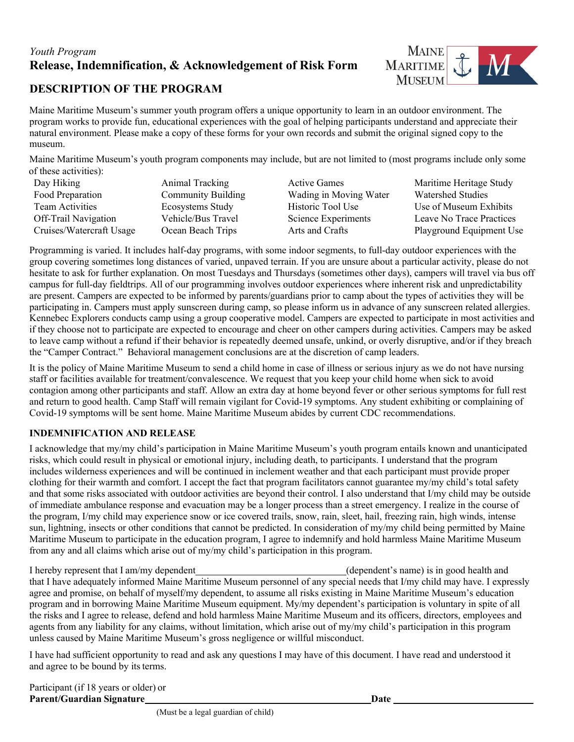### *Youth Program*  **Release, Indemnification, & Acknowledgement of Risk Form**



#### **DESCRIPTION OF THE PROGRAM**

Maine Maritime Museum's summer youth program offers a unique opportunity to learn in an outdoor environment. The program works to provide fun, educational experiences with the goal of helping participants understand and appreciate their natural environment. Please make a copy of these forms for your own records and submit the original signed copy to the museum.

Maine Maritime Museum's youth program components may include, but are not limited to (most programs include only some of these activities):

| Day Hiking               | Animal Tracking           | <b>Active Games</b>    | Maritime Heritage Study  |
|--------------------------|---------------------------|------------------------|--------------------------|
| Food Preparation         | <b>Community Building</b> | Wading in Moving Water | <b>Watershed Studies</b> |
| Team Activities          | Ecosystems Study          | Historic Tool Use      | Use of Museum Exhibits   |
| Off-Trail Navigation     | Vehicle/Bus Travel        | Science Experiments    | Leave No Trace Practices |
| Cruises/Watercraft Usage | Ocean Beach Trips         | Arts and Crafts        | Playground Equipment Use |

Programming is varied. It includes half-day programs, with some indoor segments, to full-day outdoor experiences with the group covering sometimes long distances of varied, unpaved terrain. If you are unsure about a particular activity, please do not hesitate to ask for further explanation. On most Tuesdays and Thursdays (sometimes other days), campers will travel via bus off campus for full-day fieldtrips. All of our programming involves outdoor experiences where inherent risk and unpredictability are present. Campers are expected to be informed by parents/guardians prior to camp about the types of activities they will be participating in. Campers must apply sunscreen during camp, so please inform us in advance of any sunscreen related allergies. Kennebec Explorers conducts camp using a group cooperative model. Campers are expected to participate in most activities and if they choose not to participate are expected to encourage and cheer on other campers during activities. Campers may be asked to leave camp without a refund if their behavior is repeatedly deemed unsafe, unkind, or overly disruptive, and/or if they breach the "Camper Contract." Behavioral management conclusions are at the discretion of camp leaders.

It is the policy of Maine Maritime Museum to send a child home in case of illness or serious injury as we do not have nursing staff or facilities available for treatment/convalescence. We request that you keep your child home when sick to avoid contagion among other participants and staff. Allow an extra day at home beyond fever or other serious symptoms for full rest and return to good health. Camp Staff will remain vigilant for Covid-19 symptoms. Any student exhibiting or complaining of Covid-19 symptoms will be sent home. Maine Maritime Museum abides by current CDC recommendations.

#### **INDEMNIFICATION AND RELEASE**

I acknowledge that my/my child's participation in Maine Maritime Museum's youth program entails known and unanticipated risks, which could result in physical or emotional injury, including death, to participants. I understand that the program includes wilderness experiences and will be continued in inclement weather and that each participant must provide proper clothing for their warmth and comfort. I accept the fact that program facilitators cannot guarantee my/my child's total safety and that some risks associated with outdoor activities are beyond their control. I also understand that I/my child may be outside of immediate ambulance response and evacuation may be a longer process than a street emergency. I realize in the course of the program, I/my child may experience snow or ice covered trails, snow, rain, sleet, hail, freezing rain, high winds, intense sun, lightning, insects or other conditions that cannot be predicted. In consideration of my/my child being permitted by Maine Maritime Museum to participate in the education program, I agree to indemnify and hold harmless Maine Maritime Museum from any and all claims which arise out of my/my child's participation in this program.

I hereby represent that I am/my dependent (dependent's name) is in good health and that I have adequately informed Maine Maritime Museum personnel of any special needs that I/my child may have. I expressly agree and promise, on behalf of myself/my dependent, to assume all risks existing in Maine Maritime Museum's education program and in borrowing Maine Maritime Museum equipment. My/my dependent's participation is voluntary in spite of all the risks and I agree to release, defend and hold harmless Maine Maritime Museum and its officers, directors, employees and agents from any liability for any claims, without limitation, which arise out of my/my child's participation in this program unless caused by Maine Maritime Museum's gross negligence or willful misconduct.

I have had sufficient opportunity to read and ask any questions I may have of this document. I have read and understood it and agree to be bound by its terms.

Participant (if 18 years or older) or **Parent/Guardian Signature Date**